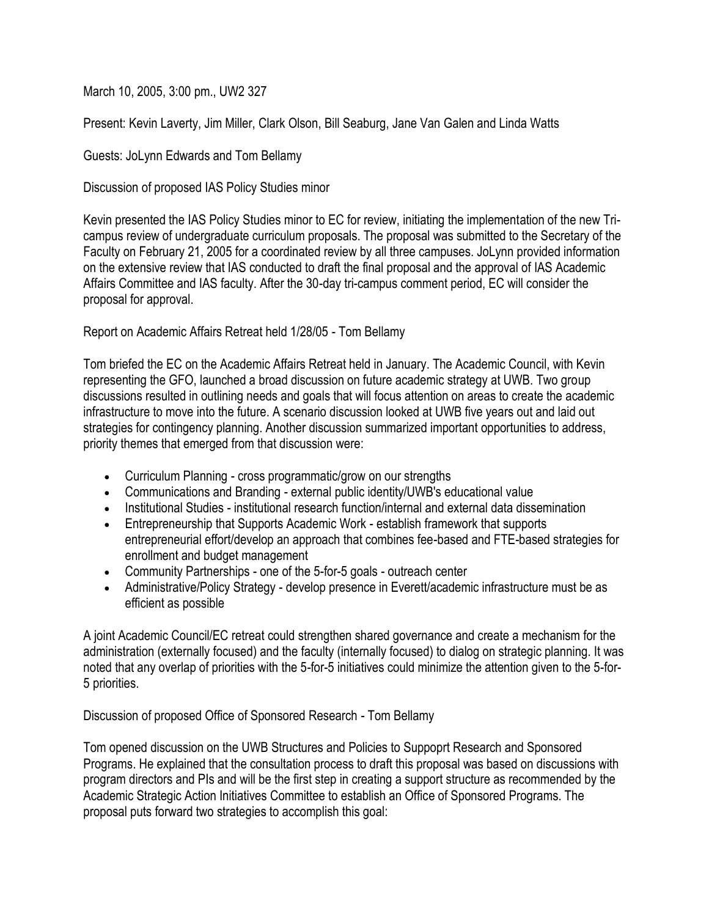March 10, 2005, 3:00 pm., UW2 327

Present: Kevin Laverty, Jim Miller, Clark Olson, Bill Seaburg, Jane Van Galen and Linda Watts

## Guests: JoLynn Edwards and Tom Bellamy

Discussion of proposed IAS Policy Studies minor

Kevin presented the IAS Policy Studies minor to EC for review, initiating the implementation of the new Tricampus review of undergraduate curriculum proposals. The proposal was submitted to the Secretary of the Faculty on February 21, 2005 for a coordinated review by all three campuses. JoLynn provided information on the extensive review that IAS conducted to draft the final proposal and the approval of IAS Academic Affairs Committee and IAS faculty. After the 30-day tri-campus comment period, EC will consider the proposal for approval.

## Report on Academic Affairs Retreat held 1/28/05 - Tom Bellamy

Tom briefed the EC on the Academic Affairs Retreat held in January. The Academic Council, with Kevin representing the GFO, launched a broad discussion on future academic strategy at UWB. Two group discussions resulted in outlining needs and goals that will focus attention on areas to create the academic infrastructure to move into the future. A scenario discussion looked at UWB five years out and laid out strategies for contingency planning. Another discussion summarized important opportunities to address, priority themes that emerged from that discussion were:

- Curriculum Planning cross programmatic/grow on our strengths
- Communications and Branding external public identity/UWB's educational value
- Institutional Studies institutional research function/internal and external data dissemination
- Entrepreneurship that Supports Academic Work establish framework that supports entrepreneurial effort/develop an approach that combines fee-based and FTE-based strategies for enrollment and budget management
- Community Partnerships one of the 5-for-5 goals outreach center
- Administrative/Policy Strategy develop presence in Everett/academic infrastructure must be as efficient as possible

A joint Academic Council/EC retreat could strengthen shared governance and create a mechanism for the administration (externally focused) and the faculty (internally focused) to dialog on strategic planning. It was noted that any overlap of priorities with the 5-for-5 initiatives could minimize the attention given to the 5-for-5 priorities.

Discussion of proposed Office of Sponsored Research - Tom Bellamy

Tom opened discussion on the UWB Structures and Policies to Suppoprt Research and Sponsored Programs. He explained that the consultation process to draft this proposal was based on discussions with program directors and PIs and will be the first step in creating a support structure as recommended by the Academic Strategic Action Initiatives Committee to establish an Office of Sponsored Programs. The proposal puts forward two strategies to accomplish this goal: